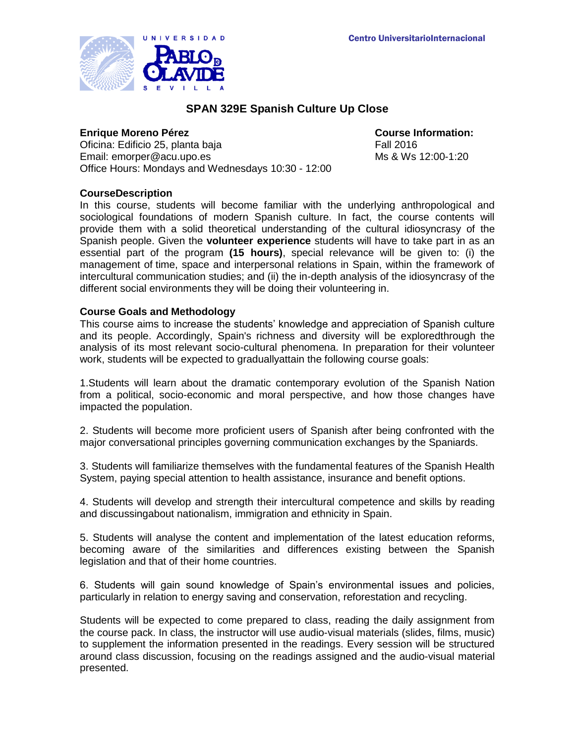

# **SPAN 329E Spanish Culture Up Close**

## **Enrique Moreno Pérez Course Information:**

Oficina: Edificio 25, planta baja Fall 2016 Email: emorper@acu.upo.es Ms & Ws 12:00-1:20 Office Hours: Mondays and Wednesdays 10:30 - 12:00

# **CourseDescription**

In this course, students will become familiar with the underlying anthropological and sociological foundations of modern Spanish culture. In fact, the course contents will provide them with a solid theoretical understanding of the cultural idiosyncrasy of the Spanish people. Given the **volunteer experience** students will have to take part in as an essential part of the program **(15 hours)**, special relevance will be given to: (i) the management of time, space and interpersonal relations in Spain, within the framework of intercultural communication studies; and (ii) the in-depth analysis of the idiosyncrasy of the different social environments they will be doing their volunteering in.

# **Course Goals and Methodology**

This course aims to increase the students' knowledge and appreciation of Spanish culture and its people. Accordingly, Spain's richness and diversity will be exploredthrough the analysis of its most relevant socio-cultural phenomena. In preparation for their volunteer work, students will be expected to graduallyattain the following course goals:

1.Students will learn about the dramatic contemporary evolution of the Spanish Nation from a political, socio-economic and moral perspective, and how those changes have impacted the population.

2. Students will become more proficient users of Spanish after being confronted with the major conversational principles governing communication exchanges by the Spaniards.

3. Students will familiarize themselves with the fundamental features of the Spanish Health System, paying special attention to health assistance, insurance and benefit options.

4. Students will develop and strength their intercultural competence and skills by reading and discussingabout nationalism, immigration and ethnicity in Spain.

5. Students will analyse the content and implementation of the latest education reforms, becoming aware of the similarities and differences existing between the Spanish legislation and that of their home countries.

6. Students will gain sound knowledge of Spain's environmental issues and policies, particularly in relation to energy saving and conservation, reforestation and recycling.

Students will be expected to come prepared to class, reading the daily assignment from the course pack. In class, the instructor will use audio-visual materials (slides, films, music) to supplement the information presented in the readings. Every session will be structured around class discussion, focusing on the readings assigned and the audio-visual material presented.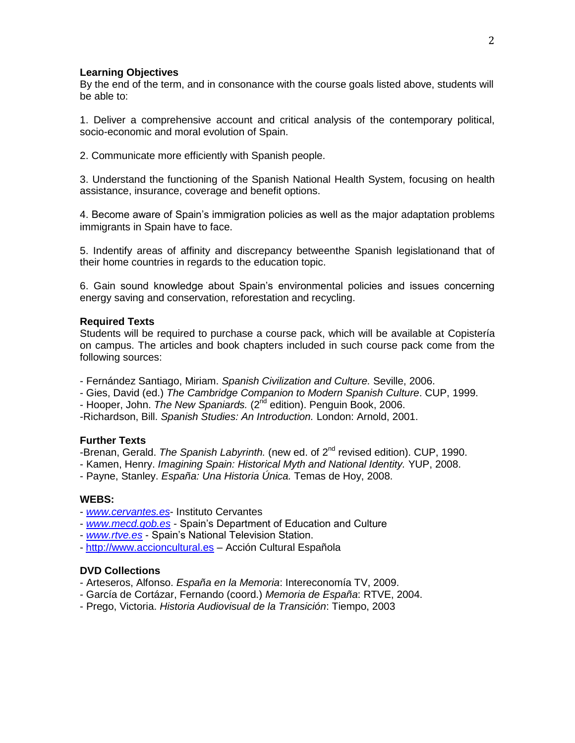#### **Learning Objectives**

By the end of the term, and in consonance with the course goals listed above, students will be able to:

1. Deliver a comprehensive account and critical analysis of the contemporary political, socio-economic and moral evolution of Spain.

2. Communicate more efficiently with Spanish people.

3. Understand the functioning of the Spanish National Health System, focusing on health assistance, insurance, coverage and benefit options.

4. Become aware of Spain's immigration policies as well as the major adaptation problems immigrants in Spain have to face.

5. Indentify areas of affinity and discrepancy betweenthe Spanish legislationand that of their home countries in regards to the education topic.

6. Gain sound knowledge about Spain's environmental policies and issues concerning energy saving and conservation, reforestation and recycling.

### **Required Texts**

Students will be required to purchase a course pack, which will be available at Copistería on campus. The articles and book chapters included in such course pack come from the following sources:

- Fernández Santiago, Miriam. *Spanish Civilization and Culture.* Seville, 2006.

- Gies, David (ed.) *The Cambridge Companion to Modern Spanish Culture*. CUP, 1999.
- Hooper, John. *The New Spaniards.* (2<sup>nd</sup> edition). Penguin Book, 2006.
- -Richardson, Bill. *Spanish Studies: An Introduction.* London: Arnold, 2001.

# **Further Texts**

-Brenan, Gerald. *The Spanish Labyrinth.* (new ed. of 2<sup>nd</sup> revised edition). CUP, 1990.

- Kamen, Henry. *Imagining Spain: Historical Myth and National Identity.* YUP, 2008.

- Payne, Stanley. *España: Una Historia Única.* Temas de Hoy, 2008.

## **WEBS:**

- *[www.cervantes.es](http://www.cervantes.es/)* Instituto Cervantes
- *[www.mecd.gob.es](http://www.mecd.gob.es/)* Spain's Department of Education and Culture
- *[www.rtve.es](http://www.rtve.es/)* Spain's National Television Station.
- [http://www.accioncultural.es](http://www.accioncultural.es/) Acción Cultural Española

## **DVD Collections**

- Arteseros, Alfonso. *España en la Memoria*: Intereconomía TV, 2009.
- García de Cortázar, Fernando (coord.) *Memoria de España*: RTVE, 2004.
- Prego, Victoria. *Historia Audiovisual de la Transición*: Tiempo, 2003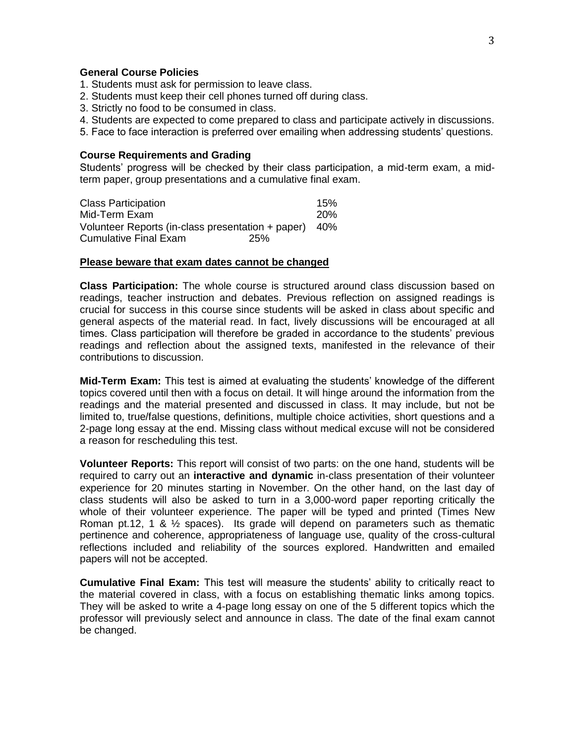#### **General Course Policies**

- 1. Students must ask for permission to leave class.
- 2. Students must keep their cell phones turned off during class.
- 3. Strictly no food to be consumed in class.
- 4. Students are expected to come prepared to class and participate actively in discussions.
- 5. Face to face interaction is preferred over emailing when addressing students' questions.

#### **Course Requirements and Grading**

Students' progress will be checked by their class participation, a mid-term exam, a midterm paper, group presentations and a cumulative final exam.

| <b>Class Participation</b>                        | 15%        |
|---------------------------------------------------|------------|
| Mid-Term Exam                                     | <b>20%</b> |
| Volunteer Reports (in-class presentation + paper) | -40%       |
| Cumulative Final Exam<br>25%                      |            |

#### **Please beware that exam dates cannot be changed**

**Class Participation:** The whole course is structured around class discussion based on readings, teacher instruction and debates. Previous reflection on assigned readings is crucial for success in this course since students will be asked in class about specific and general aspects of the material read. In fact, lively discussions will be encouraged at all times. Class participation will therefore be graded in accordance to the students' previous readings and reflection about the assigned texts, manifested in the relevance of their contributions to discussion.

**Mid-Term Exam:** This test is aimed at evaluating the students' knowledge of the different topics covered until then with a focus on detail. It will hinge around the information from the readings and the material presented and discussed in class. It may include, but not be limited to, true/false questions, definitions, multiple choice activities, short questions and a 2-page long essay at the end. Missing class without medical excuse will not be considered a reason for rescheduling this test.

**Volunteer Reports:** This report will consist of two parts: on the one hand, students will be required to carry out an **interactive and dynamic** in-class presentation of their volunteer experience for 20 minutes starting in November. On the other hand, on the last day of class students will also be asked to turn in a 3,000-word paper reporting critically the whole of their volunteer experience. The paper will be typed and printed (Times New Roman pt.12, 1 &  $\frac{1}{2}$  spaces). Its grade will depend on parameters such as thematic pertinence and coherence, appropriateness of language use, quality of the cross-cultural reflections included and reliability of the sources explored. Handwritten and emailed papers will not be accepted.

**Cumulative Final Exam:** This test will measure the students' ability to critically react to the material covered in class, with a focus on establishing thematic links among topics. They will be asked to write a 4-page long essay on one of the 5 different topics which the professor will previously select and announce in class. The date of the final exam cannot be changed.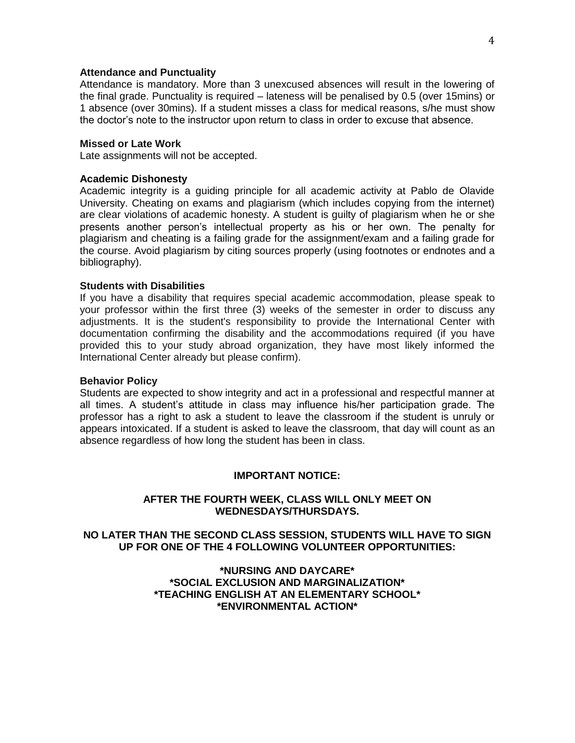### **Attendance and Punctuality**

Attendance is mandatory. More than 3 unexcused absences will result in the lowering of the final grade. Punctuality is required – lateness will be penalised by 0.5 (over 15mins) or 1 absence (over 30mins). If a student misses a class for medical reasons, s/he must show the doctor's note to the instructor upon return to class in order to excuse that absence.

#### **Missed or Late Work**

Late assignments will not be accepted.

#### **Academic Dishonesty**

Academic integrity is a guiding principle for all academic activity at Pablo de Olavide University. Cheating on exams and plagiarism (which includes copying from the internet) are clear violations of academic honesty. A student is guilty of plagiarism when he or she presents another person's intellectual property as his or her own. The penalty for plagiarism and cheating is a failing grade for the assignment/exam and a failing grade for the course. Avoid plagiarism by citing sources properly (using footnotes or endnotes and a bibliography).

### **Students with Disabilities**

If you have a disability that requires special academic accommodation, please speak to your professor within the first three (3) weeks of the semester in order to discuss any adjustments. It is the student's responsibility to provide the International Center with documentation confirming the disability and the accommodations required (if you have provided this to your study abroad organization, they have most likely informed the International Center already but please confirm).

#### **Behavior Policy**

Students are expected to show integrity and act in a professional and respectful manner at all times. A student's attitude in class may influence his/her participation grade. The professor has a right to ask a student to leave the classroom if the student is unruly or appears intoxicated. If a student is asked to leave the classroom, that day will count as an absence regardless of how long the student has been in class.

#### **IMPORTANT NOTICE:**

## **AFTER THE FOURTH WEEK, CLASS WILL ONLY MEET ON WEDNESDAYS/THURSDAYS.**

## **NO LATER THAN THE SECOND CLASS SESSION, STUDENTS WILL HAVE TO SIGN UP FOR ONE OF THE 4 FOLLOWING VOLUNTEER OPPORTUNITIES:**

**\*NURSING AND DAYCARE\* \*SOCIAL EXCLUSION AND MARGINALIZATION\* \*TEACHING ENGLISH AT AN ELEMENTARY SCHOOL\* \*ENVIRONMENTAL ACTION\***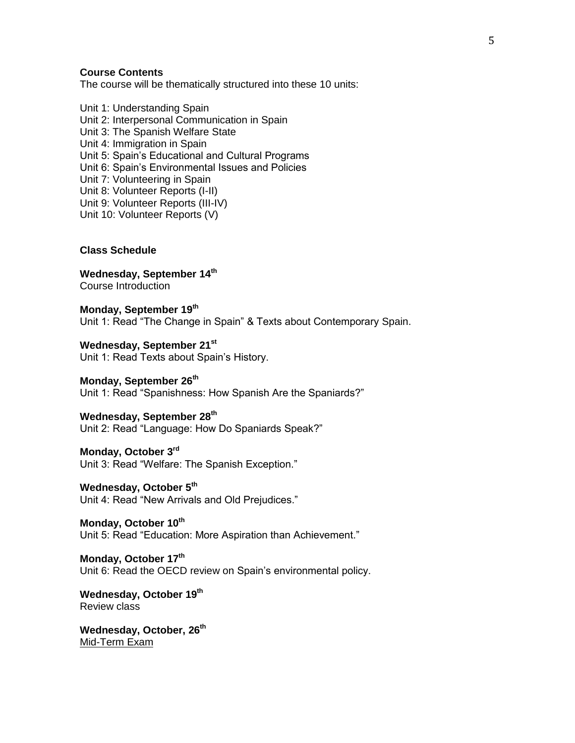## **Course Contents**

The course will be thematically structured into these 10 units:

Unit 1: Understanding Spain Unit 2: Interpersonal Communication in Spain Unit 3: The Spanish Welfare State Unit 4: Immigration in Spain Unit 5: Spain's Educational and Cultural Programs Unit 6: Spain's Environmental Issues and Policies Unit 7: Volunteering in Spain Unit 8: Volunteer Reports (I-II) Unit 9: Volunteer Reports (III-IV) Unit 10: Volunteer Reports (V)

### **Class Schedule**

**Wednesday, September 14th** Course Introduction

**Monday, September 19 th** Unit 1: Read "The Change in Spain" & Texts about Contemporary Spain.

**Wednesday, September 21st** Unit 1: Read Texts about Spain's History.

**Monday, September 26 th** Unit 1: Read "Spanishness: How Spanish Are the Spaniards?"

**Wednesday, September 28 th** Unit 2: Read "Language: How Do Spaniards Speak?"

**Monday, October 3rd** Unit 3: Read "Welfare: The Spanish Exception."

**Wednesday, October 5 th** Unit 4: Read "New Arrivals and Old Prejudices."

**Monday, October 10th** Unit 5: Read "Education: More Aspiration than Achievement."

**Monday, October 17 th** Unit 6: Read the OECD review on Spain's environmental policy.

**Wednesday, October 19 th** Review class

**Wednesday, October, 26 th** Mid-Term Exam